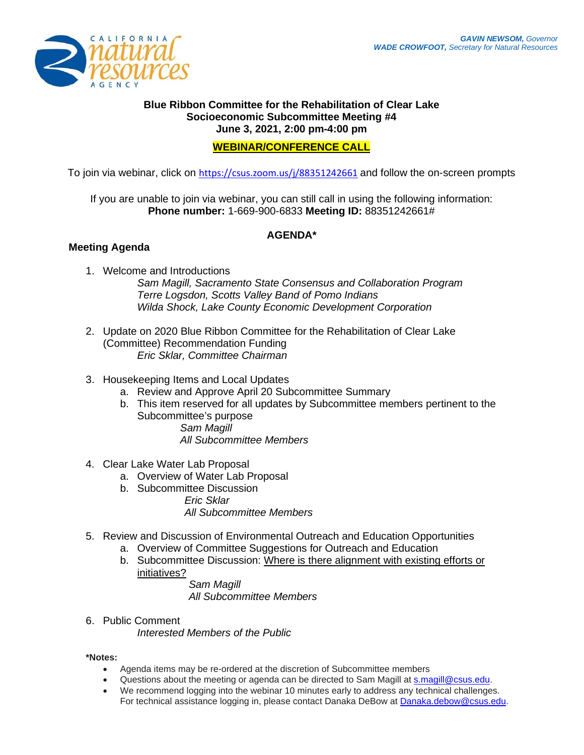

### **Blue Ribbon Committee for the Rehabilitation of Clear Lake Socioeconomic Subcommittee Meeting #4 June 3, 2021, 2:00 pm-4:00 pm**

## **WEBINAR/CONFERENCE CALL**

To join via webinar, click on <https://csus.zoom.us/j/88351242661> and follow the on-screen prompts

If you are unable to join via webinar, you can still call in using the following information: **Phone number:** 1-669-900-6833 **Meeting ID:** 88351242661#

# **AGENDA\***

## **Meeting Agenda**

1. Welcome and Introductions *Sam Magill, Sacramento State Consensus and Collaboration Program Terre Logsdon, Scotts Valley Band of Pomo Indians Wilda Shock, Lake County Economic Development Corporation*

- 2. Update on 2020 Blue Ribbon Committee for the Rehabilitation of Clear Lake (Committee) Recommendation Funding *Eric Sklar, Committee Chairman*
- 3. Housekeeping Items and Local Updates
	- a. Review and Approve April 20 Subcommittee Summary
	- b. This item reserved for all updates by Subcommittee members pertinent to the Subcommittee's purpose

*Sam Magill All Subcommittee Members* 

- 4. Clear Lake Water Lab Proposal
	- a. Overview of Water Lab Proposal
	- b. Subcommittee Discussion
		- *Eric Sklar*

*All Subcommittee Members* 

- 5. Review and Discussion of Environmental Outreach and Education Opportunities
	- a. Overview of Committee Suggestions for Outreach and Education
	- b. Subcommittee Discussion: Where is there alignment with existing efforts or initiatives?

*Sam Magill All Subcommittee Members*

6. Public Comment

*Interested Members of the Public*

#### **\*Notes:**

- Agenda items may be re-ordered at the discretion of Subcommittee members
- Questions about the meeting or agenda can be directed to Sam Magill at [s.magill@csus.edu.](mailto:s.magill@csus.edu)
- We recommend logging into the webinar 10 minutes early to address any technical challenges. For technical assistance logging in, please contact Danaka DeBow at [Danaka.debow@csus.edu.](mailto:Danaka.debow@csus.edu)